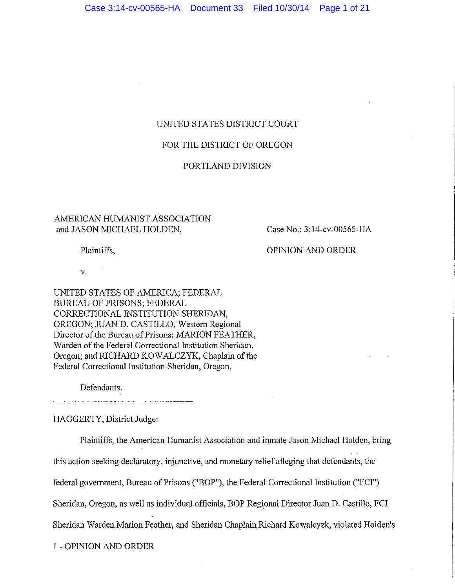## UNITED STATES DISTRICT COURT

## FOR THE DISTRICT OF OREGON

## PORTLAND DIVISION

## AMERICAN HUMANIST ASSOCIATION and JASON MICHAEL HOLDEN,

Case No.: 3:14-cv-00565-HA

Plaintiffs,

OPINION AND ORDER

v.

UNITED STATES OF AMERICA; FEDERAL BUREAU OF PRISONS; FEDERAL CORRECTIONAL INSTITUTION SHERIDAN, OREGON; JUAN D. CASTILLO, Western Regional Director of the Bureau of Prisons; MARION FEATHER, Warden of the Federal Correctional Institution Sheridan, Oregon; and RICHARD KOWALCZYK, Chaplain of the Federal Correctional Institution Sheridan, Oregon,

Defendants.

HAGGERTY, District Judge:

Plaintiffs, the American Humanist Association and imnate Jason Michael Holden, bring this action seeking declaratory, injunctive, and monetary relief alleging that defendants, the federal government, Bureau of Prisons ("BOP"), the Federal Correctional Institution ("FCI") Sheridan, Oregon, as well as individual officials, BOP Regional Director Juan D. Castillo, FCI Sheridan Warden Marion Feather, and Sheridan Chaplain Richard Kowalcyzk, violated Holden's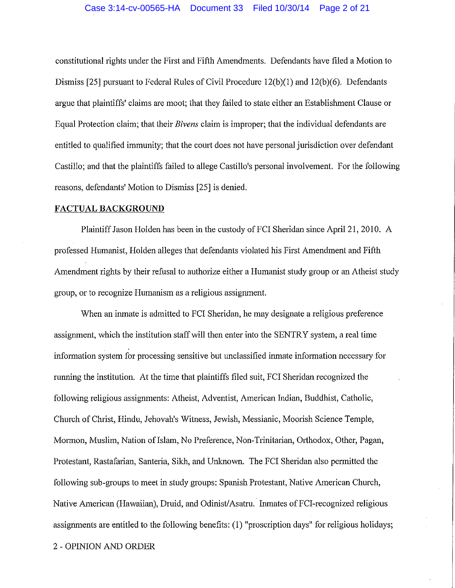### Case 3:14-cv-00565-HA Document 33 Filed 10/30/14 Page 2 of 21

constitutional rights under the First and Fifth Amendments. Defendants have filed a Motion to Dismiss [25] pursuant to Federal Rules of Civil Procedure 12(b)(I) and 12(b)(6). Defendants argue that plaintiffs' claims are moot; that they failed to state either an Establishment Clause or Equal Protection claim; that their *Bivens* claim is improper; that the individual defendants are entitled to qualified immunity; that the court does not have personal jurisdiction over defendant Castillo; and that the plaintiffs failed to allege Castillo's personal involvement. For the following reasons, defendants' Motion to Dismiss [25] is denied.

#### **FACTUAL BACKGROUND**

Plaintiff Jason Holden has been in the custody of FCI Sheridan since April 21, 2010. A professed Humanist, Holden alleges that defendants violated his First Amendment and Fifth Amendment rights by their refusal to authorize either a Humanist study group or an Atheist study group, or to recognize Humanism as a religious assignment.

When an inmate is admitted to FCI Sheridan, he may designate a religious preference assignment, which the institution staff will then enter into the SENTRY system, a real time information system for processing sensitive but unclassified inmate information necessary for running the institution. At the time that plaintiffs filed suit, FCI Sheridan recognized the following religious assignments: Atheist, Adventist, American Indian, Buddhist, Catholic, Church of Christ, Hindu, Jehovah's Witness, Jewish, Messianic, Moorish Science Temple, Mormon, Muslim, Nation of Islam, No Preference, Non-Trinitarian, Orthodox, Other, Pagan, Protestant, Rastafarian, Santeria, Sikh, and Unknown. The FCI Sheridan also permitted the following sub-groups to meet in study groups: Spanish Protestant, Native American Church, Native American (Hawaiian), Druid, and Odinist/Asatru. Inmates of FCI-recognized religious assignments are entitled to the following benefits: (1) "proscription days" for religious holidays;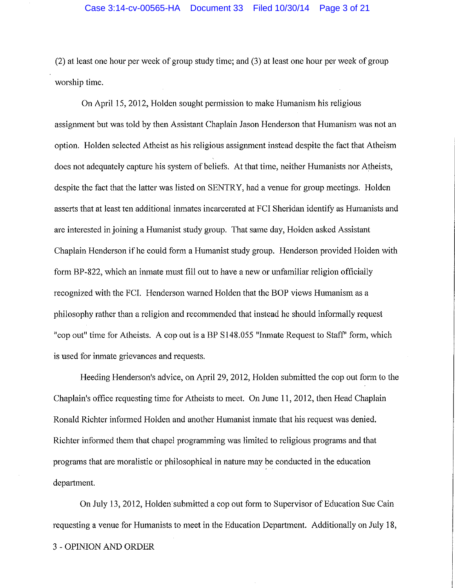(2) at least one hour per week of group study time; and (3) at least one hour per week of group worship time.

On April 15, 2012, Holden sought permission to make Humanism his religious assignment but was told by then Assistant Chaplain Jason Henderson that Humanism was not an option. Holden selected Atheist as his religious assignment instead despite the fact that Atheism does not adequately capture his system of beliefs. At that time, neither Humanists nor Atheists, despite the fact that the latter was listed on SENTRY, had a venue for group meetings. Holden asserts that at least ten additional inmates incarcerated at FCI Sheridan identify as Humanists and are interested in joining a Humanist study group. That same day, Holden asked Assistant Chaplain Henderson if he could fonn a Humanist study group. Henderson provided Holden with form BP-822, which an inmate must fill out to have a new or unfamiliar religion officially recognized with the FCI. Henderson warned Holden that the BOP views Humanism as a philosophy rather than a religion and recommended that instead he should informally request "cop out" time for Atheists. A cop out is a BP S148.055 "Inmate Request to Staff" form, which is used for inmate grievances and requests.

Heeding Henderson's advice, on April 29, 2012, Holden submitted the cop out form to the Chaplain's office requesting time for Atheists to meet. On June 11, 2012, then Head Chaplain Ronald Richter informed Holden and another Humanist inmate that his request was denied. Richter informed them that chapel programming was limited to religious programs and that programs that are moralistic or philosophical in nature may be conducted in the education department.

On July 13, 2012, Holden· submitted a cop out form to Supervisor of Education Sue Cain requesting a venue for Humanists to meet in the Education Department. Additionally on July 18,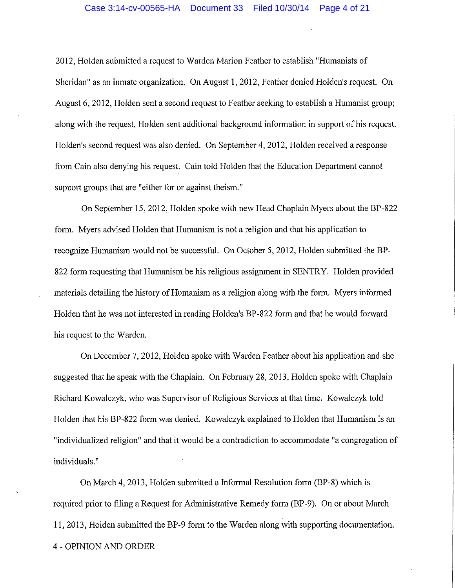2012, Holden submitted a request to Warden Marion Feather to establish "Humanists of Sheridan" as an inmate organization. On August 1, 2012, Feather denied Holden's request. On August 6, 2012, Holden sent a second request to Feather seeking to establish a Humanist group; along with the request, Holden sent additional background information in support of his request. Holden's second request was also denied. On September 4, 2012, Holden received a response from Cain also denying his request. Cain told Holden that the Education Department cannot support groups that are "either for or against theism."

On September 15, 2012, Holden spoke with new Head Chaplain Myers about the BP-822 form. Myers advised Holden that Humanism is not a religion and that his application to recognize Humanism would not be successful. On October 5, 2012, Holden submitted the BP-822 form requesting that Humanism be his religious assignment in SENTRY. Holden provided materials detailing the history of Humanism as a religion along with the form. Myers informed Holden that he was not interested in reading Holden's BP-822 form and that he would forward his request to the Warden.

On December 7, 2012, Holden spoke with Warden Feather about his application and she suggested that he speak with the Chaplain. On February 28, 2013, Holden spoke with Chaplain Richard Kowalczyk, who was Supervisor of Religious Services at that time. Kowalczyk told Holden that his BP-822 form was denied. Kowalczyk explained to Holden that Humanism is an "individualized religion" and that it would be a contradiction to accommodate "a congregation of individuals."

On March 4, 2013, Holden submitted a Informal Resolution form (BP-8) which is required prior to filing a Request for Administrative Remedy form (BP-9). On or about March 11, 2013, Holden submitted the BP-9 form to the Warden along with supporting documentation. 4 - OPINION AND ORDER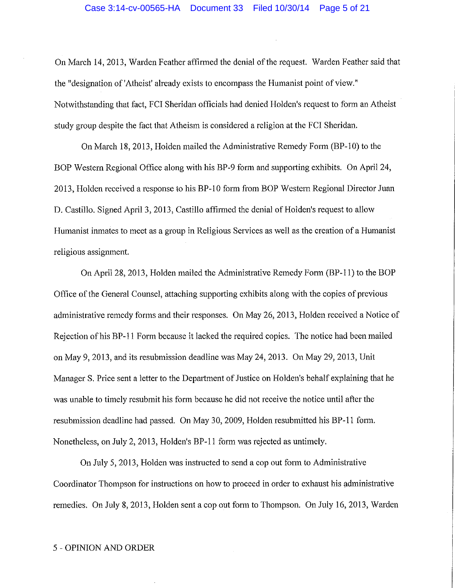On March 14, 2013, Warden Feather affirmed the denial of the request. Warden Feather said that the "designation of'Atheist' already exists to encompass the Humanist point of view." Notwithstanding that fact, FCI Sheridan officials had denied Holden's request to form an Atheist study group despite the fact that Atheism is considered a religion at the FCI Sheridan.

On March 18, 2013, Holden mailed the Administrative Remedy Form (BP-10) to the BOP Western Regional Office along with his BP-9 form and supporting exhibits. On April 24, 2013, Holden received a response to his BP-10 form from BOP Western Regional Director Juan D. Castillo. Signed April 3, 2013, Castillo affirmed the denial of Holden's request to allow Humanist inmates to meet as a group in Religious Services as well as the creation of a Humanist religious assignment.

On April 28, 2013, Holden mailed the Administrative Remedy Form (BP-11) to the BOP Office of the General Counsel, attaching supporting exhibits along with the copies of previous administrative remedy forms and their responses. On May 26, 2013, Holden received a Notice of Rejection of his BP-11 Form because it lacked the required copies. The notice had been mailed on May 9, 2013, and its resubmission deadline was May 24, 2013. On May 29, 2013, Unit Manager S. Price sent a letter to the Department of Justice on Holden's behalf explaining that he was unable to timely resubmit his form because he did not receive the notice until after the resubmission deadline had passed. On May 30, 2009, Holden resubmitted his BP-11 form. Nonetheless, on July 2, 2013, Holden's BP-11 form was rejected as untimely.

On July 5, 2013, Holden was instructed to send a cop out form to Administrative Coordinator Thompson for instructions on how to proceed in order to exhaust his administrative remedies. On July 8, 2013, Holden sent a cop out form to Thompson. On July 16, 2013, Warden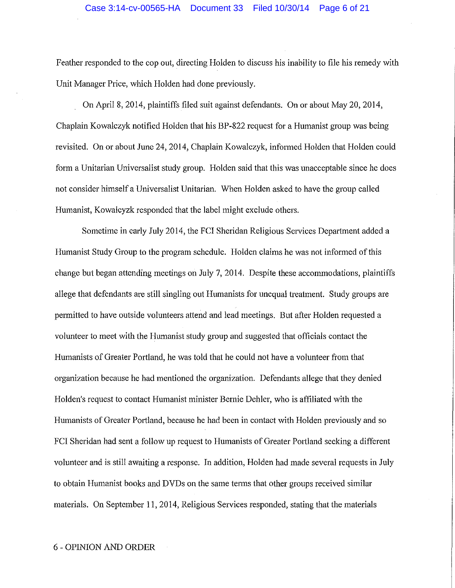Feather responded to the cop out, directing Holden to discuss his inability to file his remedy with Unit Manager Price, which Holden had done previously.

On April 8, 2014, plaintiffs filed suit against defendants. On or about May 20, 2014, Chaplain Kowalczyk notified Holden that his BP-822 request for a Humanist group was being revisited. On or about June 24, 2014, Chaplain Kowalczyk, informed Holden that Holden could form a Unitarian Universalist study group. Holden said that this was unacceptable since he does not consider himself a Universalist Unitarian. When Holden asked to have the group called Humanist, Kowalcyzk responded that the label might exclude others.

Sometime in early July 2014, the FCI Sheridan Religious Services Department added a Humanist Study Group to the program schedule. Holden claims he was not informed of this change but began attending meetings on July 7, 2014. Despite these accommodations, plaintiffs allege that defendants are still singling out Humanists for unequal treatment. Study groups are permitted to have outside volunteers attend and lead meetings. But after Holden requested a volunteer to meet with the Humanist study group and suggested that officials contact the Humanists of Greater Portland, he was told that he could not have a volunteer from that organization because he had mentioned the organization. Defendants allege that they denied Holden's request to contact Humanist minister Bernie Dehler, who is affiliated with the Humanists of Greater Portland, because he had been in contact with Holden previously and so FCI Sheridan had sent a follow up request to Humanists of Greater Portland seeking a different volunteer and is still awaiting a response. In addition, Holden had made several requests in July to obtain Humanist books and DVDs on the same tenns that other groups received similar materials. On September 11, 2014, Religious Services responded, stating that the materials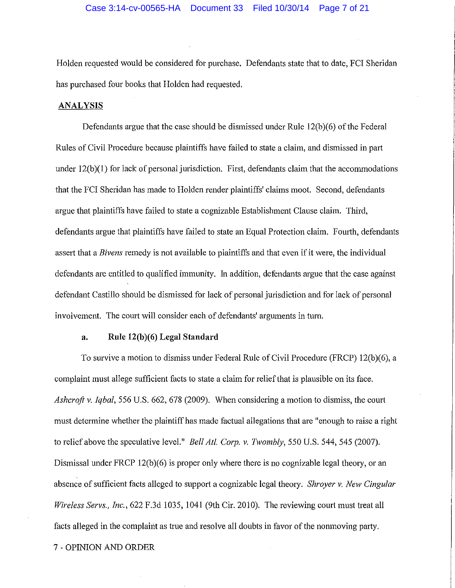Holden requested would be considered for purchase. Defendants state that to date, FCI Sheridan has purchased four books that Holden had requested.

## **ANALYSIS**

Defendants argue that the case should be dismissed under Rule 12(b)(6) of the Federal Rules of Civil Procedure because plaintiffs have failed to state a claim, and dismissed in part under 12(b)(1) for lack of personal jurisdiction. First, defendants claim that the accommodations that the FCI Sheridan has made to Holden render plaintiffs' claims moot. Second, defendants argue that plaintiffs have failed to state a cognizable Establishment Clause claim. Third, defendants argue that plaintiffs have failed to state an Equal Protection claim. Fourth, defendants assert that a *Bivens* remedy is not available to plaintiffs and that even if it were, the individual defendants are entitled to qualified immunity. In addition, defendants argue that the case against defendant Castillo should be dismissed for lack of personal jurisdiction and for lack of personal involvement. The court will consider each of defendants' arguments in tum.

## **a. Rule 12(b)(6) Legal Standard**

To survive a motion to dismiss under Federal Rule of Civil Procedure (FRCP) 12(b)(6), a complaint must allege sufficient facts to state a claim for relief that is plausible on its face. *Ashcroft v. Iqbal,* 556 U.S. 662, 678 (2009). When considering a motion to dismiss, the court must determine whether the plaintiff has made factual allegations that are "enough to raise a right to relief above the speculative level." *Bell At/. Corp. v. Twombly,* 550 U.S. 544, 545 (2007). Dismissal under FRCP 12(b)(6) is proper only where there is no cognizable legal theory, or an absence of sufficient facts alleged to support a cognizable legal theory. *Shroyer v. New Cingular Wireless Servs., Inc.,* 622 F.3d 1035, 1041 (9th Cir. 2010). The reviewing court must treat all facts alleged in the complaint as true and resolve all doubts in favor of the nonmoving party. 7 - OPINION AND ORDER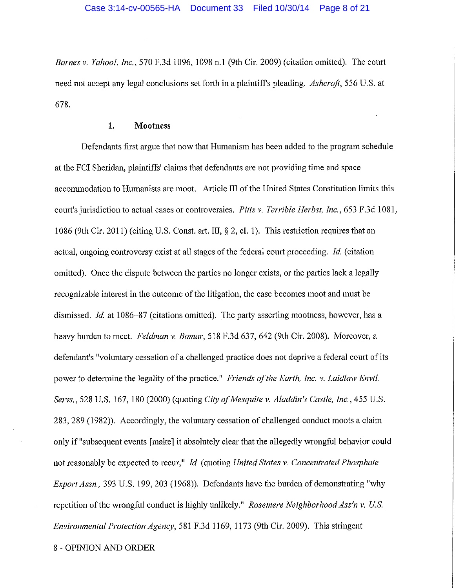*Barnes v. Yahoo!, Inc.,* 570 F.3d 1096, 1098 n.1 (9th Cir. 2009) (citation omitted). The court need not accept any legal conclusions set forth in a plaintiffs pleading. *Ashcroft,* 556 U.S. at 678.

#### **1. Mootness**

Defendants first argue that now that Humanism has been added to the program schedule at the FCI Sheridan, plaintiffs' claims that defendants are not providing time and space accommodation to Humanists are moot. Article III of the United States Constitution limits this court's jurisdiction to actual cases or controversies. Pitts v. Terrible Herbst, Inc., 653 F.3d 1081, 1086 (9th Cir. 2011) (citing U.S. Const. art. III, § 2, cl. 1 ). This restriction requires that an actual, ongoing controversy exist at all stages of the federal court proceeding. *Id.* (citation omitted). Once the dispute between the parties no longer exists, or the parties lack a legally recognizable interest in the outcome of the litigation, the case becomes moot and must be dismissed. *Id.* at 1086–87 (citations omitted). The party asserting mootness, however, has a heavy burden to meet. *Feldman v. Bomar,* 518 F.3d 637, 642 (9th Cir. 2008). Moreover, a defendant's "voluntary cessation of a challenged practice does not deprive a federal court of its power to determine the legality of the practice." *Friends of the Earth, Inc. v. Laidlaw Envtl. Servs.,* 528 U.S. 167, 180 (2000) (quoting *City ofivfesquite v. Aladdin's Castle, Inc.,* 455 U.S. 283, 289 (1982)). Accordingly, the voluntary cessation of challenged conduct moots a claim only if "subsequent events [make] it absolutely clear that the allegedly wrongful behavior could not reasonably be expected to recur," *Id* (quoting *United States v. Concentrated Phosphate Export Assn.,* 393 U.S. 199, 203 (1968)). Defendants have the burden of demonstrating "why repetition of the wrongful conduct is highly unlikely." *Rosemere Neighborhood Ass'n v. U.S. Environmental Protection Agency,* 581F.3d1169, 1173 (9th Cir. 2009). This stringent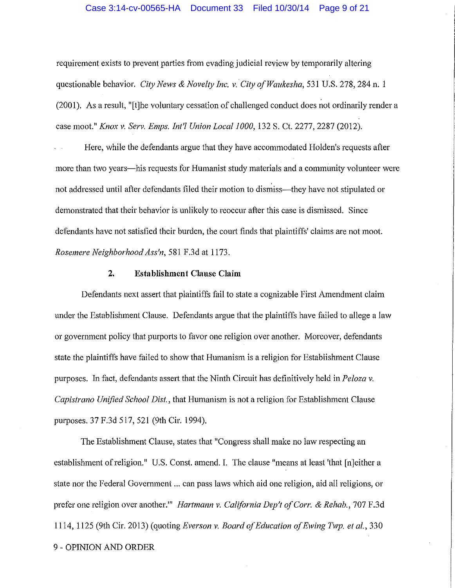#### Case 3:14-cv-00565-HA Document 33 Filed 10/30/14 Page 9 of 21

requirement exists to prevent parties from evading judicial review by temporarily altering questionable behavior. *City News & Novelty Inc. v. City of Waukesha*, 531 U.S. 278, 284 n. 1 (2001). As a result, "[t]he voluntary cessation of challenged conduct does not ordinarily render a case moot." *Knox v. Serv. Emps. Int'! Union Local 1000,* 132 S. Ct. 2277, 2287 (2012).

Here, while the defendants argue that they have accommodated Holden's requests after more than two years-his requests for Humanist study materials and a community volunteer were not addressed until after defendants filed their motion to dismiss-they have not stipulated or demonstrated that their behavior is unlikely to reoccur after this case is dismissed. Since defendants have not satisfied their burden, the court finds that plaintiffs' claims are not moot. *Rosemere Neighborhood Ass'n,* 581 F.3d at 1173.

#### **2. Establishment Clause Claim**

Defendants next assert that plaintiffs fail to state a cognizable First Amendment claim under the Establishment Clause. Defendants argue that the plaintiffs have failed to allege a law or government policy that purports to favor one religion over another. Moreover, defendants state the plaintiffs have failed to show that Humanism is a religion for Establishment Clause purposes. In fact, defendants assert that the Ninth Circuit has definitively held in *Peloza v. Capistrano Unified School Dist.,* that Humanism is not a religion for Establishment Clause purposes. 37 F.3d 517, 521 (9th Cir. 1994).

The Establishment Clause, states that "Congress shall make no law respecting an establishment of religion." U.S. Const. amend. I. The clause "means at least 'that [n)either a state nor the Federal Government ... can pass laws which aid one religion, aid all religions, or prefer one religion over another.'" *Hartmann v. California Dep't of Corr.* & *Rehab.,* 707 F.3d 1114, 1125 (9th Cir. 2013) (quoting *Everson v. Board of Education of Ewing Twp. et al.,* 330 9 - OPINION AND ORDER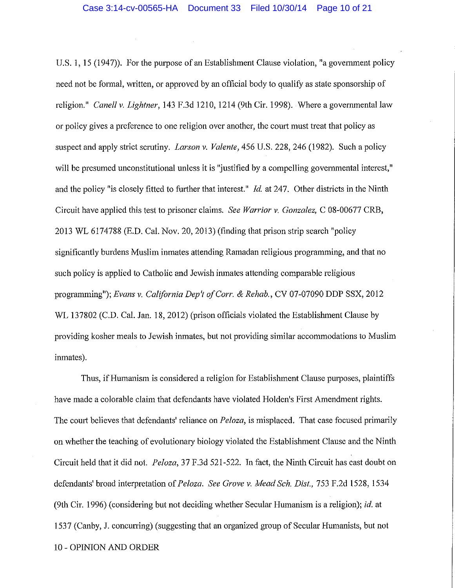U.S. 1, 15 (1947)). For the purpose of an Establishment Clause violation, "a government policy need not be formal, written, or approved by an official body to qualify as state sponsorship of religion." *Canel! v. Lightner,* 143 F.3d 1210, 1214 (9th Cir. 1998). Where a governmental law or policy gives a preference to one religion over another, the court must treat that policy as suspect and apply strict scrutiny. *Larson v. Valente,* 456 U.S. 228, 246 (1982). Such a policy will be presumed unconstitutional unless it is "justified by a compelling governmental interest," and the policy "is closely fitted to further that interest." *Id.* at 247. Other districts in the Ninth Circuit have applied this test to prisoner claims. *See Warrior v. Gonzalez,* C 08-00677 CRB, 2013 WL 6174788 (E.D. Cal. Nov. 20, 2013) (finding that prison strip search "policy significantly burdens Muslim inmates attending Ramadan religious programming, and that no such policy is applied to Catholic and Jewish inmates attending comparable religious programming"); *Evans v. California Dep't of Corr.* & *Rehab.,* CV 07-07090 DDP SSX, 2012 WL 137802 (C.D. Cal. Jan. 18, 2012) (prison officials violated the Establishment Clause by providing kosher meals to Jewish inmates, but not providing similar accommodations to Muslim inmates).

Thus, if Humanism is considered a religion for Establishment Clause purposes, plaintiffs have made a colorable claim that defendants have violated Holden's First Amendment rights. The court believes that defendants' reliance on *Peloza*, is misplaced. That case focused primarily on whether the teaching of evolutionary biology violated the Establishment Clause and the Ninth Circuit held that it did not. *Peloza,* 37 F.3d 521-522. In fact, the Ninth Circuit has cast doubt on defendants' broad interpretation of *Peloza. See Grove v. kfead Sch. Dist.,* 753 F.2d 1528, 1534 (9th Cir. 1996) (considering but not deciding whether Secular Humanism is a religion); *id.* at 1537 (Canby, J. concurring) (suggesting that an organized group of Secular Humanists, but not 10 - OPINION AND ORDER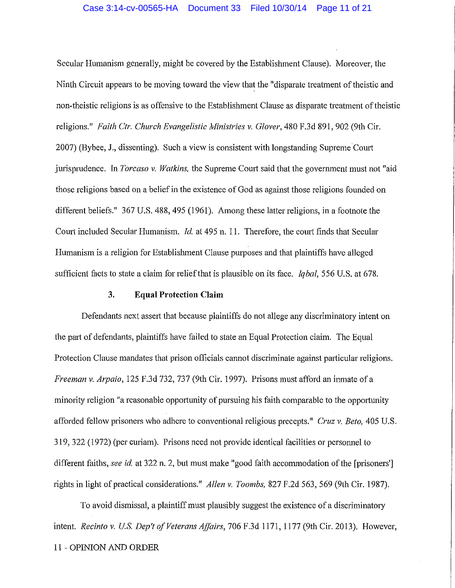Secular Humanism generally, might be covered by the Establishment Clause). Moreover, the Ninth Circuit appears to be moving toward the view that the "disparate treatment of theistic and non-theistic religions is as offensive to the Establishment Clause as disparate treatment of theistic religions." Faith Ctr. Church Evangelistic Ministries v. Glover, 480 F.3d 891, 902 (9th Cir. 2007) (Bybee, J., dissenting). Such a view is consistent with longstanding Supreme Court jurisprudence. In *Torcaso v. Watkins,* the Supreme Court said that the government must not "aid those religions based on a belief in the existence of God as against those religions founded on different beliefs." 367 U.S. 488, 495 (1961). Among these latter religions, in a footnote the Court included Secular Humanism. *Id.* at 495 n. 11. Therefore, the court finds that Secular Humanism is a religion for Establishment Clause purposes and that plaintiffs have alleged sufficient facts to state a claim for relief that is plausible on its face. *Iqbal,* 556 U.S. at 678.

#### **3. Equal Protection Claim**

Defendants next assert that because plaintiffs do not allege any discriminatory intent on the part of defendants, plaintiffs have failed to state an Equal Protection claim. The Equal Protection Clause mandates that prison officials cannot discriminate against particular religions. *Freeman v. Arpaio,* 125 F.3d 732, 737 (9th Cir. 1997). Prisons must afford an inmate ofa minority religion "a reasonable opportunity of pursuing his faith comparable to the opportunity afforded fellow prisoners who adhere to conventional religious precepts." *Cruz v. Beto,* 405 U.S. 319, 322 (1972) (per curiam). Prisons need not provide identical facilities or personnel to different faiths, *see id.* at 322 n. 2, but must make "good faith accommodation of the [prisoners'] rights in light of practical considerations." *Allen v. Toombs,* 827 F.2d 563, 569 (9th Cir. 1987).

To avoid dismissal, a plaintiff must plausibly suggest the existence of a discriminatory intent. *Recinto v. US. Dep't of Veterans Affairs,* 706 F.3d 1171, 1177 (9th Cir. 2013). However,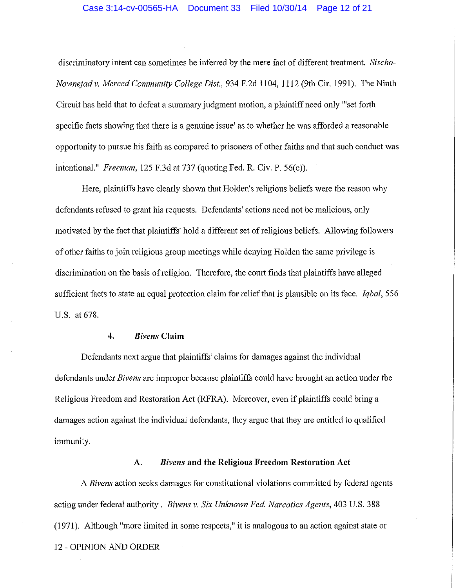#### Case 3:14-cv-00565-HA Document 33 Filed 10/30/14 Page 12 of 21

discriminatory intent can sometimes be infened by the mere fact of different treatment. *Sischo-Nowneiad v. Merced Community College Dist.,* 934 F.2d 1104, 1112 (9th Cir. 1991). The Ninth Circuit has held that to defeat a summary judgment motion, a plaintiff need only "'set forth specific facts showing that there is a genuine issue' as to whether he was afforded a reasonable opportunity to pursue his faith as compared to prisoners of other faiths and that such conduct was intentional." *Freeman,* 125 F.3d at 737 (quoting Fed. R. Civ. P. 56(e)).

Here, plaintiffs have clearly shown that Holden's religious beliefs were the reason why defendants refused to grant his requests. Defendants' actions need not be malicious, only motivated by the fact that plaintiffs' hold a different set of religious beliefs. Allowing followers of other faiths to join religious group meetings while denying Holden the same privilege is discrimination on the basis of religion. Therefore, the court finds that plaintiffs have alleged sufficient facts to state an equal protection claim for relief that is plausible on its face. *Iqbal,* 556 U.S. at 678.

## **4.** *Bivens* **Claim**

Defendants next argue that plaintiffs' claims for damages against the individual defendants under *Bivens* are improper because plaintiffs could have brought an action under the Religious Freedom and Restoration Act (RFRA). Moreover, even if plaintiffs could bring a damages action against the individual defendants, they argue that they are entitled to qualified immunity.

#### A. *Bivens* **and the Religious Freedom Restoration Act**

A *Bivens* action seeks damages for constitutional violations committed by federal agents acting under federal authority. *Bivens v. Six Unknown Fed. Narcotics Agents,* 403 U.S. 388 (1971). Although "more limited in some respects," it is analogous to an action against state or 12 - OPINION AND ORDER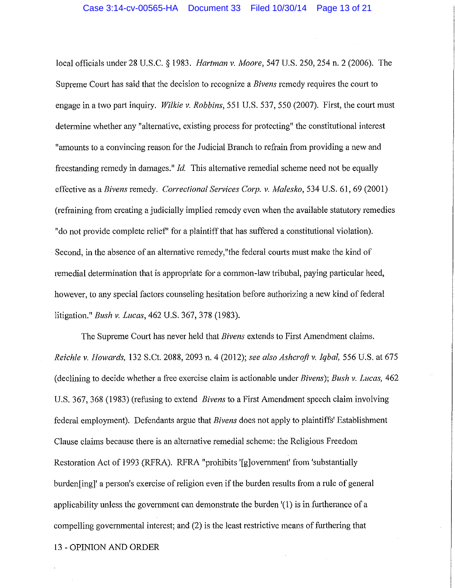local officials under 28 U.S.C. § 1983. *Hartman v. 1Yfoore,* 547 U.S. 250, 254 n. 2 (2006). The Supreme Court has said that the decision to recognize a *Bivens* remedy requires the court to engage in a two part inquiry. *Wilkie v. Robbins,* 551 U.S. 537, 550 (2007). First, the court must detennine whether any "alternative, existing process for protecting" the constitutional interest "amounts to a convincing reason for the Judicial Branch to refrain from providing a new and freestanding remedy in damages." *Id.* This alternative remedial scheme need not be equally effective as a *Bivens* remedy. *Correctional Services Corp. v. 1\,Jalesko,* 534 U.S. 61, 69 (2001) (refraining from creating a judicially implied remedy even when the available statutory remedies "do not provide complete relief' for a plaintiff that has suffered a constitutional violation). Second, in the absence of an alternative remedy,"the federal courts must make the kind of remedial determination that is appropriate for a common-law tribubal, paying particular heed, however, to any special factors counseling hesitation before authorizing a new kind of federal litigation." *Bush v. Lucas,* 462 U.S. 367, 378 (1983).

The Supreme Court has never held that *Bivens* extends to First Amendment claims. *Reichle v.* Ho~wards, 132 S.Ct. 2088, 2093 n. 4 (2012); *see also Ashcroft v. Iqbal,* 556 U.S. at 675 (declining to decide whether a free exercise claim is actionable under *Bivens); Bush v. Lucas,* 462 U.S. 367, 368 (1983) (refusing to extend *Bivens* to a First Amendment speech claim involving federal employment). Defendants argue that *Bivens* does not apply to plaintiffs' Establishment Clause claims because there is an alternative remedial scheme: the Religious Freedom Restoration Act of 1993 (RFRA). RFRA "prohibits '[g]overnment' from 'substantially burden[ing]' a person's exercise of religion even if the burden results from a rule of general applicability unless the government can demonstrate the burden '( 1) is in furtherance of a compelling governmental interest; and (2) is the least restrictive means of furthering that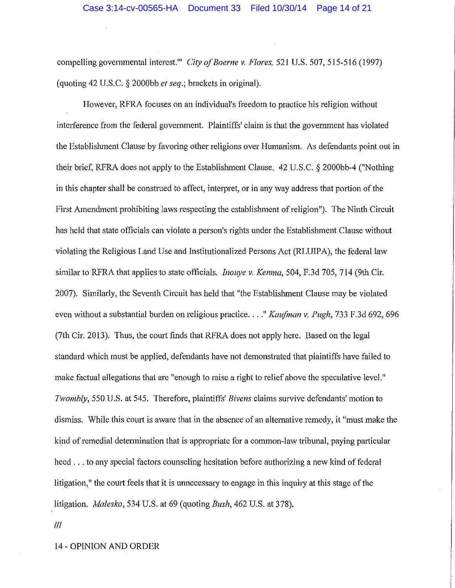compelling governmental interest."' *City of Boerne v. Flores,* 521 U.S. 507, 515-516 (1997) (quoting 42 U.S.C. § 2000bb *et seq.;* brackets in original).

However, RFRA focuses on an individual's freedom to practice his religion without interference from the federal government. Plaintiffs' claim is that the government has violated the Establishment Clause by favoring other religions over Humanism. As defendants point out in their brief, RFRA does not apply to the Establishment Clause. 42 U.S.C. § 2000bb-4 ("Nothing in this chapter shall be construed to affect, interpret, or in any way address that portion of the First Amendment prohibiting laws respecting the establishment of religion"). The Ninth Circuit has held that state officials can violate a person's rights under the Establishment Clause without violating the Religious Land Use and Institutionalized Persons Act (RLUIP A), the federal law similar to RFRA that applies to state officials. *Inouye v. Kemna,* 504, F.3d 705, 714 (9th Cir. 2007). Similarly, the Seventh Circuit has held that "the Establishment Clause may be violated even without a substantial burden on religious practice ... *. "Kaufman v. Pugh,* 733 F.3d 692, 696 (7th Cir. 2013). Thus, the court finds that RFRA does not apply here. Based on the legal standard which must be applied, defendants have not demonstrated that plaintiffs have failed to make factual allegations that are "enough to raise a right to relief above the speculative level." *Twombly,* 550 U.S. at 545. Therefore, plaintiffs' *Bivens* claims survive defendants' motion to dismiss. While this court is aware that in the absence of an alternative remedy, it "must make the kind of remedial determination that is appropriate for a common-law tribunal, paying particular heed ... to any special factors counseling hesitation before authorizing a new kind of federal litigation," the court feels that it is unnecessary to engage in this inquiry at this stage of the litigation. *Malesko*, 534 U.S. at 69 (quoting *Bush*, 462 U.S. at 378).

Ill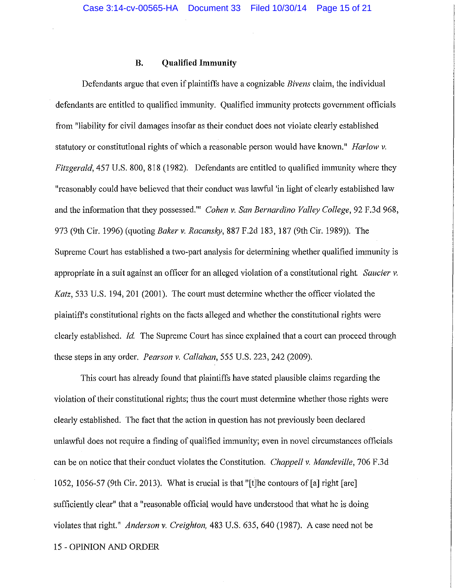## **B. Qualified Immunity**

Defendants argue that even if plaintiffs have a cognizable *Bivens* claim, the individual defendants are entitled to qualified immunity. Qualified immunity protects government officials from "liability for civil damages insofar as their conduct does not violate clearly established statutory or constitutional rights of which a reasonable person would have known." *Harlow v. Fitzgerald,* 457 U.S. 800, 818 (1982). Defendants are entitled to qualified immunity where they "reasonably could have believed that their conduct was lawful 'in light of clearly established law and the information that they possessed."' *Cohen v. San Bernardino Valley College,* 92 F.3d 968, 973 (9th Cir. 1996) (quoting *Baker v. Racansky,* 887 F.2d 183, 187 (9th Cir. 1989)). The Supreme Court has established a two-part analysis for determining whether qualified immunity is appropriate in a suit against an officer for an alleged violation of a constitutional right. Saucier v. *Katz*, 533 U.S. 194, 201 (2001). The court must determine whether the officer violated the plaintiffs constitutional rights on the facts alleged and whether the constitutional rights were clearly established. *Id.* The Supreme Court has since explained that a court can proceed through these steps in any order. *Pearson v. Callahan,* 555 U.S. 223, 242 (2009).

This court has already found that plaintiffs have stated plausible claims regarding the violation of their constitutional rights; thus the court must determine whether those rights were clearly established. The fact that the action in question has not previously been declared unlawful does not require a finding of qualified immunity; even in novel circumstances officials can be on notice that their conduct violates the Constitution. *Chappell v. Mandeville*, 706 F.3d 1052, 1056-57 (9th Cir. 2013). What is crucial is that "[t]he contours of [a] right [are] sufficiently clear" that a "reasonable official would have understood that what he is doing violates that right." *Anderson v. Creighton,* 483 U.S. 635, 640 (1987). A case need not be 15 - OPINION AND ORDER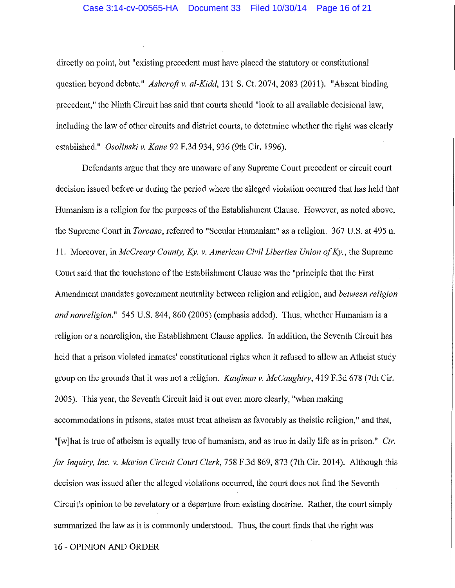#### Case 3:14-cv-00565-HA Document 33 Filed 10/30/14 Page 16 of 21

directly on point, but "existing precedent must have placed the statutory or constitutional question beyond debate." *Ashcroft v. al-Kidd,* 131 S. Ct. 2074, 2083 (2011). "Absent binding precedent," the Ninth Circuit has said that courts should "look to all available decisional law, including the law of other circuits and district courts, to determine whether the right was clearly established." *Osolinski v. Kane* 92 F.3d 934, 936 (9th Cir. 1996).

Defendants argue that they are unaware of any Supreme Court precedent or circuit comt decision issued before or during the period where the alleged violation occurred that has held that Humanism is a religion for the purposes of the Establishment Clause. However, as noted above, the Supreme Court in *Torcaso,* referred to "Secular Humanism" as a religion. 367 U.S. at 495 n. 11. Moreover, in *McCreary County, Ky. v. American Civil Liberties Union of Ky.*, the Supreme Court said that the touchstone of the Establishment Clause was the "principle that the First Amendment mandates government neutrality between religion and religion, and *between religion and nonreligion."* 545 U.S. 844, 860 (2005) (emphasis added). Thus, whether Humanism is a religion or a nonreligion, the Establishment Clause applies. In addition, the Seventh Circuit has held that a prison violated inmates' constitutional rights when it refused to allow an Atheist study group on the grounds that it was not a religion. *Kaufman v. McCaughtry*, 419 F.3d 678 (7th Cir. 2005). This year, the Seventh Circuit laid it out even more clearly, "when making accommodations in prisons, states must treat atheism as favorably as theistic religion," and that, " [w] hat is true of atheism is equally true of humanism, and as true in daily life as in prison." Ctr. *for Inquiry, Inc. v. Marion Circuit Court Clerk, 758 F.3d 869, 873 (7th Cir. 2014). Although this* decision was issued after the alleged violations occurred, the court does not find the Seventh Circuit's opinion to be revelatory or a departure from existing doctrine. Rather, the court simply summarized the law as it is commonly understood. Thus, the court finds that the right was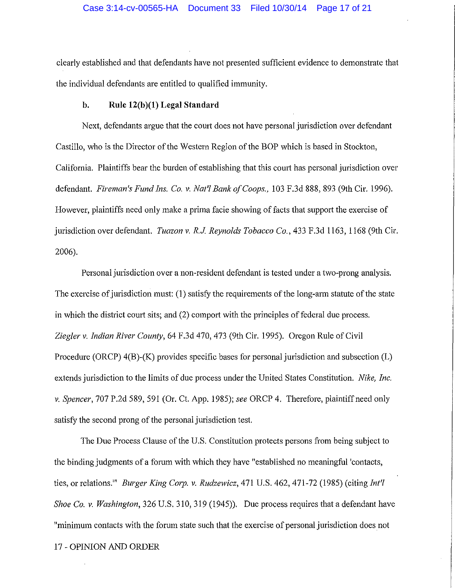clearly established and that defendants have not presented sufficient evidence to demonstrate that the individual defendants are entitled to qualified immunity.

## **b. Rule 12(b )(1) Legal Standard**

Next, defendants argue that the court does not have personal jurisdiction over defendant Castillo, who is the Director of the Western Region of the BOP which is based in Stockton, California. Plaintiffs bear the burden of establishing that this court has personal jurisdiction over defendant. *Fireman's Fund Ins. Co. v. Nat'/ Bank of Coops.,* 103 F.3d 888, 893 (9th Cir. 1996). However, plaintiffs need only make a prima facie showing of facts that support the exercise of jurisdiction over defendant. *Tuazon v. R.J. Reynolds Tobacco Co.,* 433 F.3d 1163, 1168 (9th Cir. 2006).

Personal jurisdiction over a non-resident defendant is tested under a two-prong analysis. The exercise of jurisdiction must: (1) satisfy the requirements of the long-arm statute of the state in which the district court sits; and (2) comport with the principles of federal due process. *Ziegler v. Indian River County,* 64 F.3d 470, 473 (9th Cir. 1995). Oregon Rule of Civil Procedure (ORCP) 4(B)-(K) provides specific bases for personal jurisdiction and subsection (L) extends jurisdiction to the limits of due process under the United States Constitution. *Nike, Inc. v. Spencer,* 707 P.2d 589, 591 (Or. Ct. App. 1985); *see* ORCP 4. Therefore, plaintiff need only satisfy the second prong of the personal jurisdiction test.

The Due Process Clause of the U.S. Constitution protects persons from being subject to the binding judgments of a forum with which they have "established no meaningful 'contacts, ties, or relations.<sup>"</sup> *Burger King Corp. v. Rudzewicz*, 471 U.S. 462, 471-72 (1985) (citing *Int'l Shoe Co. v. Washington,* 326 U.S. 310, 319 (1945)). Due process requires that a defendant have "minimum contacts with the forum state such that the exercise of personal jurisdiction does not 17 - OPINION AND ORDER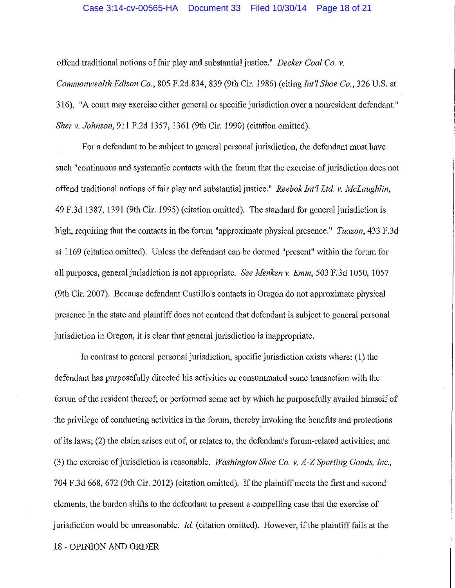#### Case 3:14-cv-00565-HA Document 33 Filed 10/30/14 Page 18 of 21

offend traditional notions of fair play and substantial justice." *Decker Coal Co. v.* 

*Commonwealth Edison Co.,* 805 F.2d 834, 839 (9th Cir. 1986) (citing *Int'/ Shoe Co.,* 326 U.S. at 316). "A court may exercise either general or specific jurisdiction over a nonresident defendant." *Sher* v. *Johnson,* 911F.2d1357, 1361 (9th Cir. 1990) (citation omitted).

For a defendant to be subject to general personal jurisdiction, the defendant must have such "continuous and systematic contacts with the forum that the exercise of jurisdiction does not offend traditional notions of fair play and substantial justice." *Reebok Int'l Ltd. v. McLaughlin,* 49 F.3d 1387, 1391 (9th Cir. 1995) (citation omitted). The standard for general jurisdiction is high, requiring that the contacts in the forum "approximate physical presence." *Tuazon,* 433 F.3d at 1169 (citation omitted). Unless the defendant can be deemed "present" within the forum for all purposes, general jurisdiction is not appropriate. *See Menken v. Emm*, 503 F.3d 1050, 1057 (9th Cir. 2007). Because defendant Castillo's contacts in Oregon do not approximate physical presence in the state and plaintiff does not contend that defendant is subject to general personal jurisdiction in Oregon, it is clear that general jurisdiction is inappropriate.

In contrast to general personal jurisdiction, specific jurisdiction exists where: (1) the defendant has purposefully directed his activities or consummated some transaction with the forum of the resident thereof; or performed some act by which he purposefully availed himself of the privilege of conducting activities in the forum, thereby invoking the benefits and protections of its laws; (2) the claim arises out of, or relates to, the defendant's forum-related activities; and (3) the exercise of jurisdiction is reasonable. *Washington Shoe Co. v, A-Z Sporting Goods, Inc.,*  704 F.3d 668, 672 (9th Cir. 2012) (citation omitted). If the plaintiff meets the first and second elements, the burden shifts to the defendant to present a compelling case that the exercise of jurisdiction would be unreasonable. *Id.* (citation omitted). However, if the plaintiff fails at the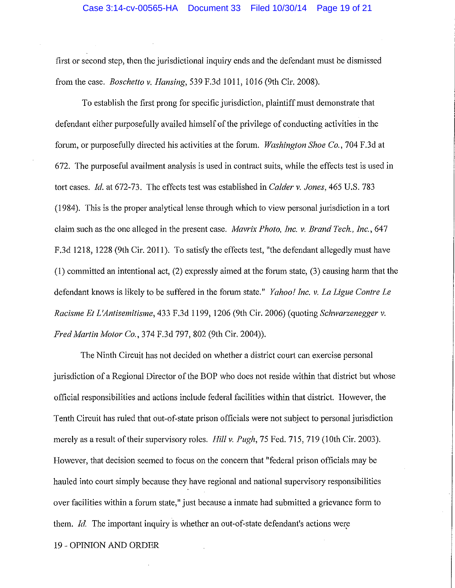first or second step, then the jurisdictional inquiry ends and the defendant must be dismissed from the case. *Boschetto v. Hansing,* 539 F.3d 1011, 1016 (9th Cir. 2008).

To establish the first prong for specific jurisdiction, plaintiff must demonstrate that defendant either purposefully availed himself of the privilege of conducting activities in the fornm, or purposefully directed his activities at the forum. *Washington Shoe Co.,* 704 F .3d at 672. The purposeful availment analysis is used in contract suits, while the effects test is used in tort cases. *Id.* at 672-73. The effects test was established in *Calder v. Jones,* 465 U.S. 783  $(1984)$ . This is the proper analytical lense through which to view personal jurisdiction in a tort claim such as the one alleged in the present case. *Mavrix Photo, Inc. v. Brand Tech., Inc.*, 647 F.3d 1218, 1228 (9th Cir. 2011). To satisfy the effects test, "the defendant allegedly must have (1) committed an intentional act, (2) expressly aimed at the forum state, (3) causing harm that the defendant knows is likely to be suffered in the forum state." *Yahoo! Inc. v. La Ligue Contre Le Racisme Et L'Antisemitisme,* 433 F.3d 1199, 1206 (9th Cir. 2006) (quoting *Schwarzenegger v. Fred Martin Motor Co., 374 F.3d 797, 802 (9th Cir. 2004)).* 

The Ninth Circuit has not decided on whether a district court can exercise personal jurisdiction of a Regional Director of the BOP who does not reside within that district but whose official responsibilities and actions include federal facilities within that district. However, the Tenth Circuit has ruled that out-of-state prison officials were not subject to personal jurisdiction merely as a result of their supervisory roles. *Hill v. Pugh,* 75 Fed. 715, 719 (10th Cir. 2003). However, that decision seemed to focus on the concern that "federal prison officials may be hauled into court simply because they have regional and national supervisory responsibilities over facilities within a forum state," just because a inmate had submitted a grievance form to them. *Id.* The important inquiry is whether an out-of-state defendant's actions were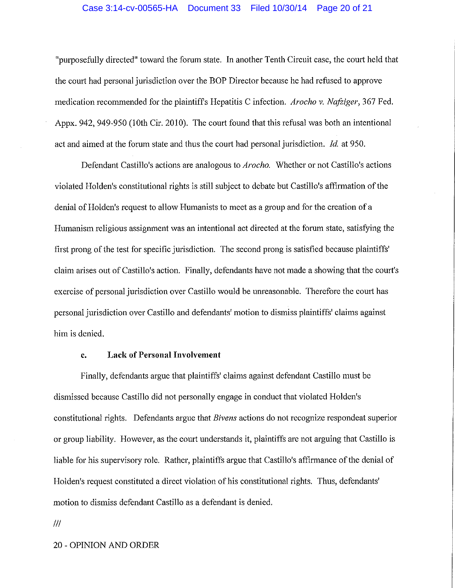#### Case 3:14-cv-00565-HA Document 33 Filed 10/30/14 Page 20 of 21

"purposefully directed" toward the forum state. In another Tenth Circuit case, the court held that the court had personal jurisdiction over the BOP Director because he had refused to approve medication recommended for the plaintiff's Hepatitis C infection. *Arocho v. Nafziger*, 367 Fed. Appx. 942, 949-950 (10th Cir. 2010). The court found that this refusal was both an intentional act and aimed at the forum state and thus the court had personal jurisdiction. *Id* at 950.

Defendant Castillo's actions are analogous to *Arocho.* Whether or not Castillo's actions violated Holden's constitutional rights is still subject to debate but Castillo's affirmation of the denial of Holden's request to allow Humanists to meet as a group and for the creation of a Humanism religious assignment was an intentional act directed at the forum state, satisfying the first prong of the test for specific jurisdiction. The second prong is satisfied because plaintiffs' claim arises out of Castillo's action. Finally, defendants have not made a showing that the court's exercise of personal jurisdiction over Castillo would be umeasonable. Therefore the court has personal jurisdiction over Castillo and defendants' motion to dismiss plaintiffs' claims against him is denied.

#### **c. Lack of Personal Involvement**

Finally, defendants argue that plaintiffs' claims against defendant Castillo must be dismissed because Castillo did not personally engage in conduct that violated Holden's constitutional rights. Defendants argue that *Bivens* actions do not recognize respondeat superior or group liability. However, as the court understands it, plaintiffs are not arguing that Castillo is liable for his supervisory role. Rather, plaintiffs argue that Castillo's affitmance of the denial of Holden's request constituted a direct violation of his constitutional rights. Thus, defendants' motion to dismiss defendant Castillo as a defendant is denied.

Ill